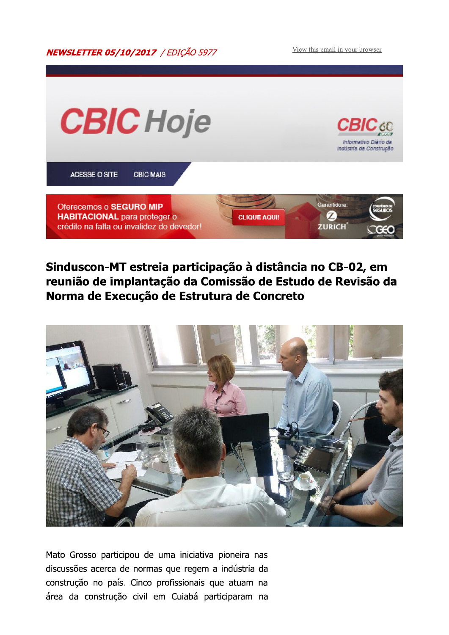View this email in your browser



## Sinduscon-MT estreia participação à distância no CB-02, em reunião de implantação da Comissão de Estudo de Revisão da Norma de Execução de Estrutura de Concreto



Mato Grosso participou de uma iniciativa pioneira nas discussões acerca de normas que regem a indústria da construção no país. Cinco profissionais que atuam na área da construção civil em Cuiabá participaram na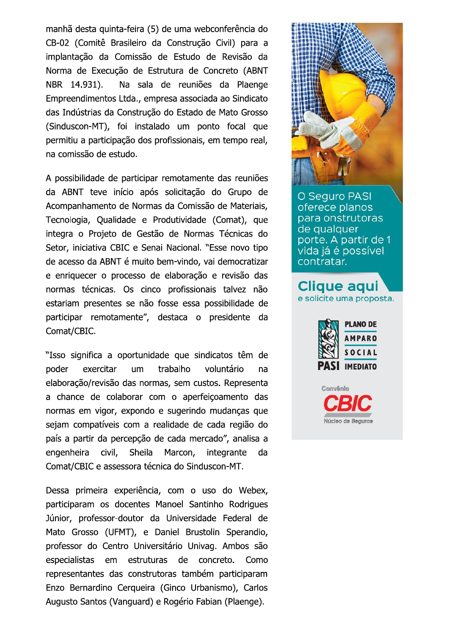manhã desta quinta-feira (5) de uma webconferência do CB-02 (Comitê Brasileiro da Construção Civil) para a implantação da Comissão de Estudo de Revisão da Norma de Execução de Estrutura de Concreto (ABNT NBR 14.931). Na sala de reuniões da Plaenge Empreendimentos Ltda., empresa associada ao Sindicato das Indústrias da Construção do Estado de Mato Grosso (Sinduscon-MT), foi instalado um ponto focal que permitiu a participação dos profissionais, em tempo real, na comissão de estudo.

A possibilidade de participar remotamente das reuniões da ABNT teve início após solicitação do Grupo de Acompanhamento de Normas da Comissão de Materiais, Tecnologia, Qualidade e Produtividade (Comat), que integra o Projeto de Gestão de Normas Técnicas do Setor, iniciativa CBIC e Senai Nacional. "Esse novo tipo de acesso da ABNT é muito bem-vindo, vai democratizar e enriquecer o processo de elaboração e revisão das normas técnicas. Os cinco profissionais talvez não estariam presentes se não fosse essa possibilidade de participar remotamente", destaca o presidente da Comat/CBIC.

"Isso significa a oportunidade que sindicatos têm de poder exercitar **um** trabalho voluntário na elaboração/revisão das normas, sem custos. Representa a chance de colaborar com o aperfeiçoamento das normas em vigor, expondo e sugerindo mudanças que sejam compatíveis com a realidade de cada região do país a partir da percepção de cada mercado", analisa a engenheira civil. Sheila Marcon, integrante da Comat/CBIC e assessora técnica do Sinduscon-MT.

Dessa primeira experiência, com o uso do Webex, participaram os docentes Manoel Santinho Rodrigues Júnior, professor-doutor da Universidade Federal de Mato Grosso (UFMT), e Daniel Brustolin Sperandio, professor do Centro Universitário Univag. Ambos são especialistas em estruturas de concreto. Como representantes das construtoras também participaram Enzo Bernardino Cerqueira (Ginco Urbanismo), Carlos Augusto Santos (Vanguard) e Rogério Fabian (Plaenge).



**O Sequro PASI** oferece planos para onstrutoras de qualquer porte. A partir de 1 vida já é possível contratar.

# **Clique aqui** e solicite uma proposta.



Núcleo de Seguros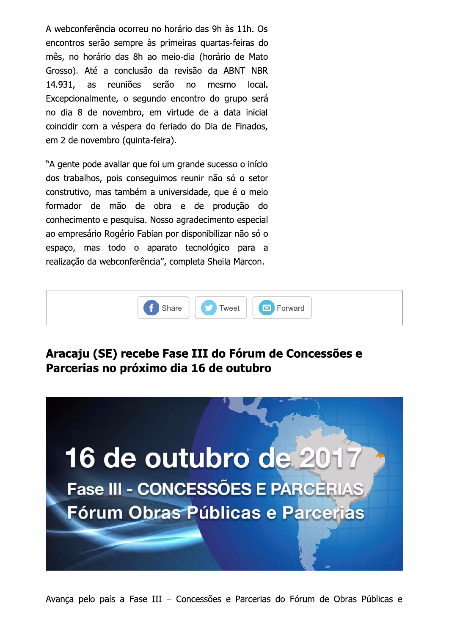A webconferência ocorreu no horário das 9h às 11h. Os encontros serão sempre às primeiras quartas-feiras do mês, no horário das 8h ao meio-dia (horário de Mato Grosso). Até a conclusão da revisão da ABNT NBR reuniões serão 14.931, as no mesmo local. Excepcionalmente, o segundo encontro do grupo será no dia 8 de novembro, em virtude de a data inicial coincidir com a véspera do feriado do Dia de Finados, em 2 de novembro (quinta-feira).

"A gente pode avaliar que foi um grande sucesso o início dos trabalhos, pois conseguimos reunir não só o setor construtivo, mas também a universidade, que é o meio formador de mão de obra e de produção do conhecimento e pesquisa. Nosso agradecimento especial ao empresário Rogério Fabian por disponibilizar não só o espaço, mas todo o aparato tecnológico para a realização da webconferência", completa Sheila Marcon.



### Aracaju (SE) recebe Fase III do Fórum de Concessões e Parcerias no próximo dia 16 de outubro

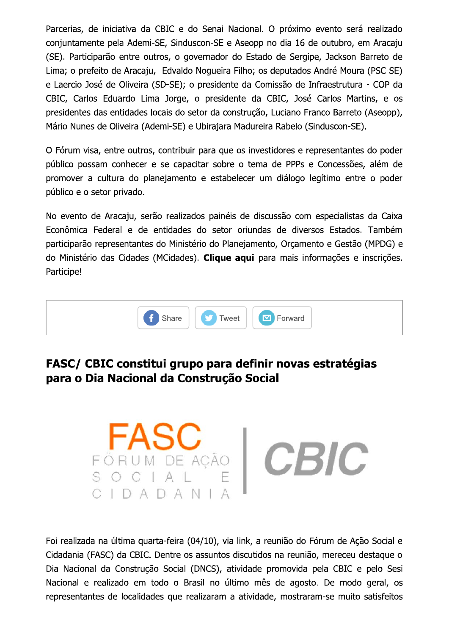Parcerias, de iniciativa da CBIC e do Senai Nacional. O próximo evento será realizado conjuntamente pela Ademi-SE, Sinduscon-SE e Aseopp no dia 16 de outubro, em Aracaju (SE). Participarão entre outros, o governador do Estado de Sergipe, Jackson Barreto de Lima; o prefeito de Aracaju, Edvaldo Nogueira Filho; os deputados André Moura (PSC-SE) e Laercio José de Oliveira (SD-SE); o presidente da Comissão de Infraestrutura - COP da CBIC, Carlos Eduardo Lima Jorge, o presidente da CBIC, José Carlos Martins, e os presidentes das entidades locais do setor da construção, Luciano Franco Barreto (Aseopp), Mário Nunes de Oliveira (Ademi-SE) e Ubirajara Madureira Rabelo (Sinduscon-SE).

O Fórum visa, entre outros, contribuir para que os investidores e representantes do poder público possam conhecer e se capacitar sobre o tema de PPPs e Concessões, além de promover a cultura do planejamento e estabelecer um diálogo legítimo entre o poder público e o setor privado.

No evento de Aracaju, serão realizados painéis de discussão com especialistas da Caixa Econômica Federal e de entidades do setor oriundas de diversos Estados. Também participarão representantes do Ministério do Planejamento, Orçamento e Gestão (MPDG) e do Ministério das Cidades (MCidades). Clique aqui para mais informações e inscrições. Participe!



### FASC/ CBIC constitui grupo para definir novas estratégias para o Dia Nacional da Construção Social



Foi realizada na última guarta-feira (04/10), via link, a reunião do Fórum de Ação Social e Cidadania (FASC) da CBIC. Dentre os assuntos discutidos na reunião, mereceu destague o Dia Nacional da Construção Social (DNCS), atividade promovida pela CBIC e pelo Sesi Nacional e realizado em todo o Brasil no último mês de agosto. De modo geral, os representantes de localidades que realizaram a atividade, mostraram-se muito satisfeitos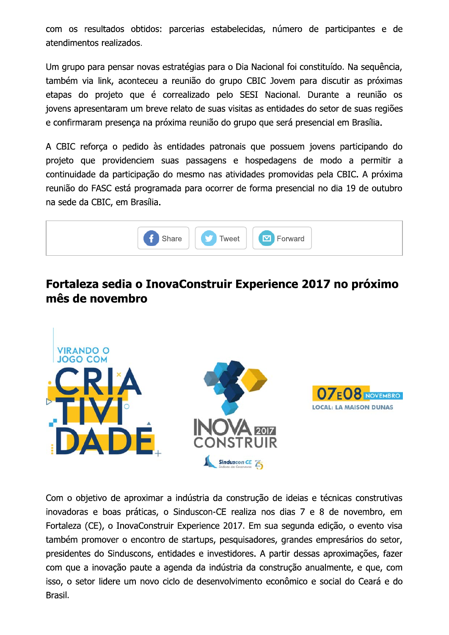com os resultados obtidos: parcerias estabelecidas, número de participantes e de atendimentos realizados.

Um grupo para pensar novas estratégias para o Dia Nacional foi constituído. Na seguência, também via link, aconteceu a reunião do grupo CBIC Jovem para discutir as próximas etapas do projeto que é correalizado pelo SESI Nacional. Durante a reunião os jovens apresentaram um breve relato de suas visitas as entidades do setor de suas regiões e confirmaram presença na próxima reunião do grupo que será presencial em Brasília.

A CBIC reforça o pedido às entidades patronais que possuem jovens participando do projeto que providenciem suas passagens e hospedagens de modo a permitir a continuidade da participação do mesmo nas atividades promovidas pela CBIC. A próxima reunião do FASC está programada para ocorrer de forma presencial no dia 19 de outubro na sede da CBIC, em Brasília.



### Fortaleza sedia o InovaConstruir Experience 2017 no próximo mês de novembro



Com o objetivo de aproximar a indústria da construção de ideias e técnicas construtivas inovadoras e boas práticas, o Sinduscon-CE realiza nos dias 7 e 8 de novembro, em Fortaleza (CE), o InovaConstruir Experience 2017. Em sua segunda edição, o evento visa também promover o encontro de startups, pesquisadores, grandes empresários do setor, presidentes do Sinduscons, entidades e investidores. A partir dessas aproximações, fazer com que a inovação paute a agenda da indústria da construção anualmente, e que, com isso, o setor lidere um novo ciclo de desenvolvimento econômico e social do Ceará e do Brasil.